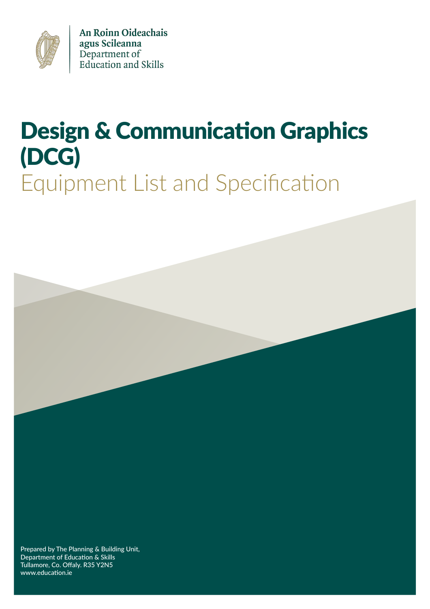

An Roinn Oideachais agus Scileanna Department of<br>Education and Skills

# Design & Communication Graphics (DCG) Equipment List and Specification



Prepared by The Planning & Building Unit, Department of Education & Skills Tullamore, Co. Offaly. R35 Y2N5 www.education.ie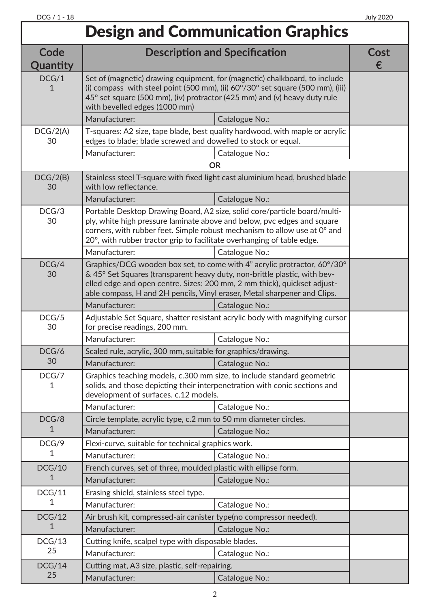## Design and Communication Graphics

| <b>Description and Specification</b><br>Code<br>Quantity                                                                                                                                                                                                                                                                                                        | Cost<br>€                                                                    |  |  |  |
|-----------------------------------------------------------------------------------------------------------------------------------------------------------------------------------------------------------------------------------------------------------------------------------------------------------------------------------------------------------------|------------------------------------------------------------------------------|--|--|--|
| DCG/1<br>Set of (magnetic) drawing equipment, for (magnetic) chalkboard, to include<br>(i) compass with steel point (500 mm), (ii) $60^{\circ}/30^{\circ}$ set square (500 mm), (iii)<br>45° set square (500 mm), (iv) protractor (425 mm) and (v) heavy duty rule<br>with bevelled edges (1000 mm)                                                             |                                                                              |  |  |  |
| Manufacturer:<br>Catalogue No.:                                                                                                                                                                                                                                                                                                                                 |                                                                              |  |  |  |
| DCG/2(A)<br>T-squares: A2 size, tape blade, best quality hardwood, with maple or acrylic<br>30<br>edges to blade; blade screwed and dowelled to stock or equal.                                                                                                                                                                                                 |                                                                              |  |  |  |
| Manufacturer:<br>Catalogue No.:                                                                                                                                                                                                                                                                                                                                 |                                                                              |  |  |  |
| <b>OR</b>                                                                                                                                                                                                                                                                                                                                                       |                                                                              |  |  |  |
| Stainless steel T-square with fixed light cast aluminium head, brushed blade<br>DCG/2(B)<br>with low reflectance.<br>30                                                                                                                                                                                                                                         |                                                                              |  |  |  |
| Manufacturer:<br>Catalogue No.:                                                                                                                                                                                                                                                                                                                                 |                                                                              |  |  |  |
| DCG/3<br>Portable Desktop Drawing Board, A2 size, solid core/particle board/multi-<br>ply, white high pressure laminate above and below, pvc edges and square<br>30<br>corners, with rubber feet. Simple robust mechanism to allow use at 0° and<br>20°, with rubber tractor grip to facilitate overhanging of table edge.                                      |                                                                              |  |  |  |
| Manufacturer:<br>Catalogue No.:                                                                                                                                                                                                                                                                                                                                 |                                                                              |  |  |  |
| DCG/4<br>Graphics/DCG wooden box set, to come with 4" acrylic protractor, 60°/30°<br>30<br>& 45° Set Squares (transparent heavy duty, non-brittle plastic, with bev-<br>elled edge and open centre. Sizes: 200 mm, 2 mm thick), quickset adjust-<br>able compass, H and 2H pencils, Vinyl eraser, Metal sharpener and Clips.<br>Manufacturer:<br>Catalogue No.: |                                                                              |  |  |  |
| DCG/5                                                                                                                                                                                                                                                                                                                                                           | Adjustable Set Square, shatter resistant acrylic body with magnifying cursor |  |  |  |
| 30<br>for precise readings, 200 mm.                                                                                                                                                                                                                                                                                                                             |                                                                              |  |  |  |
| Manufacturer:<br>Catalogue No.:                                                                                                                                                                                                                                                                                                                                 |                                                                              |  |  |  |
| DCG/6<br>Scaled rule, acrylic, 300 mm, suitable for graphics/drawing.<br>30<br>Manufacturer:                                                                                                                                                                                                                                                                    |                                                                              |  |  |  |
| Catalogue No.:<br>DCG/7<br>Graphics teaching models, c.300 mm size, to include standard geometric<br>solids, and those depicting their interpenetration with conic sections and<br>development of surfaces. c.12 models.                                                                                                                                        |                                                                              |  |  |  |
| Manufacturer:<br>Catalogue No.:                                                                                                                                                                                                                                                                                                                                 |                                                                              |  |  |  |
| Circle template, acrylic type, c.2 mm to 50 mm diameter circles.<br>DCG/8<br>1<br>Manufacturer:                                                                                                                                                                                                                                                                 |                                                                              |  |  |  |
| Catalogue No.:                                                                                                                                                                                                                                                                                                                                                  |                                                                              |  |  |  |
| DCG/9<br>Flexi-curve, suitable for technical graphics work.<br>1<br>Manufacturer:                                                                                                                                                                                                                                                                               |                                                                              |  |  |  |
| Catalogue No.:                                                                                                                                                                                                                                                                                                                                                  |                                                                              |  |  |  |
| French curves, set of three, moulded plastic with ellipse form.<br>DCG/10<br>1<br>Manufacturer:                                                                                                                                                                                                                                                                 |                                                                              |  |  |  |
| Catalogue No.:                                                                                                                                                                                                                                                                                                                                                  |                                                                              |  |  |  |
| DCG/11<br>Erasing shield, stainless steel type.<br>Manufacturer:                                                                                                                                                                                                                                                                                                |                                                                              |  |  |  |
| Catalogue No.:<br>DCG/12<br>Air brush kit, compressed-air canister type(no compressor needed).                                                                                                                                                                                                                                                                  |                                                                              |  |  |  |
| Manufacturer:<br>Catalogue No.:                                                                                                                                                                                                                                                                                                                                 |                                                                              |  |  |  |
| Cutting knife, scalpel type with disposable blades.<br>DCG/13                                                                                                                                                                                                                                                                                                   |                                                                              |  |  |  |
| 25<br>Manufacturer:<br>Catalogue No.:                                                                                                                                                                                                                                                                                                                           |                                                                              |  |  |  |
| DCG/14<br>Cutting mat, A3 size, plastic, self-repairing.                                                                                                                                                                                                                                                                                                        |                                                                              |  |  |  |
| 25<br>Manufacturer:<br>Catalogue No.:                                                                                                                                                                                                                                                                                                                           |                                                                              |  |  |  |